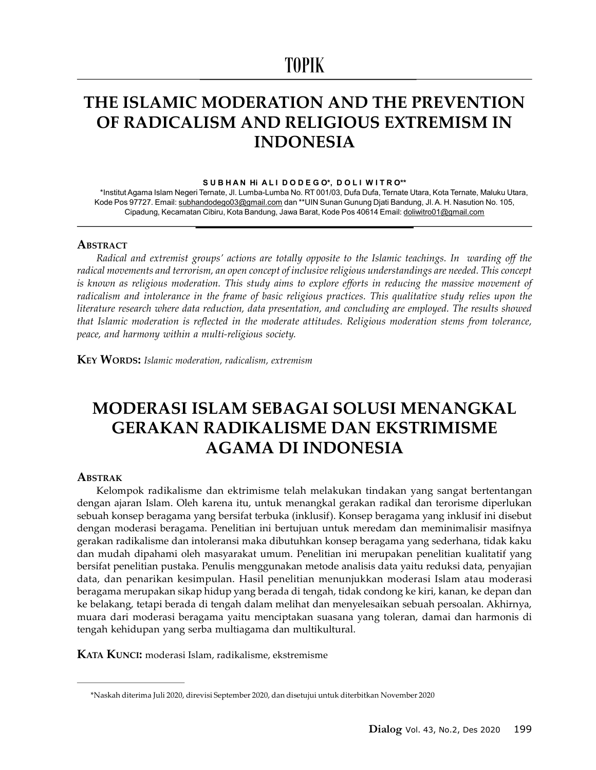# TOPIK

## THE ISLAMIC MODERATION AND THE PREVENTION OF RADICALISM AND RELIGIOUS EXTREMISM IN INDONESIA

#### SUBHAN HI ALI DODEGO\*, DOLI WITRO\*\*

\*Institut Agama Islam Negeri Ternate, Jl. Lumba-Lumba No. RT 001/03, Dufa Dufa, Ternate Utara, Kota Ternate, Maluku Utara, Kode Pos 97727. Email: subhandodego03@gmail.com dan \*\*UIN Sunan Gunung Djati Bandung, Jl. A. H. Nasution No. 105, Cipadung, Kecamatan Cibiru, Kota Bandung, Jawa Barat, Kode Pos 40614 Email: doliwitro01@gmail.com

#### **ABSTRACT**

Radical and extremist groups' actions are totally opposite to the Islamic teachings. In warding off the radical movements and terrorism, an open concept of inclusive religious understandings are needed. This concept is known as religious moderation. This study aims to explore efforts in reducing the massive movement of radicalism and intolerance in the frame of basic religious practices. This qualitative study relies upon the literature research where data reduction, data presentation, and concluding are employed. The results showed that Islamic moderation is reflected in the moderate attitudes. Religious moderation stems from tolerance, peace, and harmony within a multi-religious society.

**KEY WORDS:** Islamic moderation, radicalism, extremism

## MODERASI ISLAM SEBAGAI SOLUSI MENANGKAL GERAKAN RADIKALISME DAN EKSTRIMISME AGAMA DI INDONESIA

#### ABSTRAK

Kelompok radikalisme dan ektrimisme telah melakukan tindakan yang sangat bertentangan dengan ajaran Islam. Oleh karena itu, untuk menangkal gerakan radikal dan terorisme diperlukan sebuah konsep beragama yang bersifat terbuka (inklusif). Konsep beragama yang inklusif ini disebut dengan moderasi beragama. Penelitian ini bertujuan untuk meredam dan meminimalisir masifnya gerakan radikalisme dan intoleransi maka dibutuhkan konsep beragama yang sederhana, tidak kaku dan mudah dipahami oleh masyarakat umum. Penelitian ini merupakan penelitian kualitatif yang bersifat penelitian pustaka. Penulis menggunakan metode analisis data yaitu reduksi data, penyajian data, dan penarikan kesimpulan. Hasil penelitian menunjukkan moderasi Islam atau moderasi beragama merupakan sikap hidup yang berada di tengah, tidak condong ke kiri, kanan, ke depan dan ke belakang, tetapi berada di tengah dalam melihat dan menyelesaikan sebuah persoalan. Akhirnya, muara dari moderasi beragama yaitu menciptakan suasana yang toleran, damai dan harmonis di tengah kehidupan yang serba multiagama dan multikultural.

KATA KUNCI: moderasi Islam, radikalisme, ekstremisme

<sup>\*</sup>Naskah diterima Juli 2020, direvisi September 2020, dan disetujui untuk diterbitkan November 2020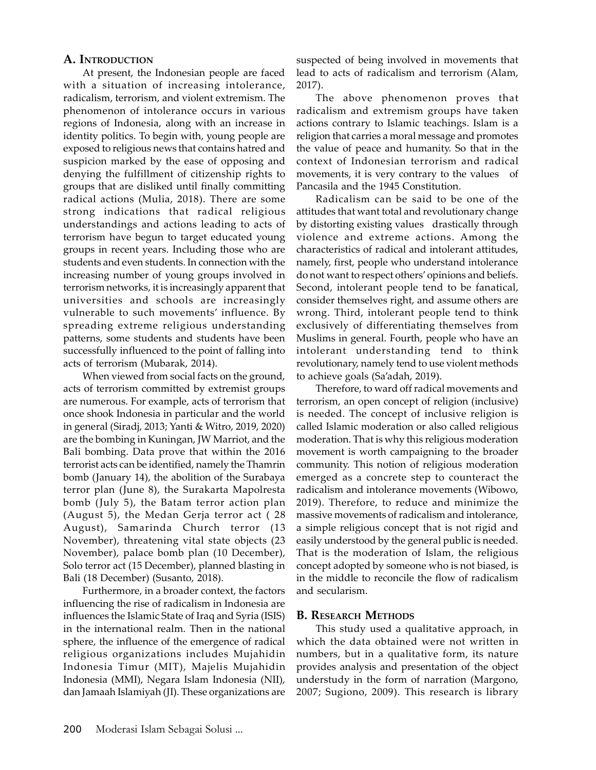### A. INTRODUCTION

At present, the Indonesian people are faced with a situation of increasing intolerance, radicalism, terrorism, and violent extremism. The phenomenon of intolerance occurs in various regions of Indonesia, along with an increase in identity politics. To begin with, young people are exposed to religious news that contains hatred and suspicion marked by the ease of opposing and denying the fulfillment of citizenship rights to groups that are disliked until finally committing radical actions (Mulia, 2018). There are some strong indications that radical religious understandings and actions leading to acts of terrorism have begun to target educated young groups in recent years. Including those who are students and even students. In connection with the increasing number of young groups involved in terrorism networks, it is increasingly apparent that universities and schools are increasingly vulnerable to such movements' influence. By spreading extreme religious understanding patterns, some students and students have been successfully influenced to the point of falling into acts of terrorism (Mubarak, 2014).

When viewed from social facts on the ground, acts of terrorism committed by extremist groups are numerous. For example, acts of terrorism that once shook Indonesia in particular and the world in general (Siradj, 2013; Yanti & Witro, 2019, 2020) are the bombing in Kuningan, JW Marriot, and the Bali bombing. Data prove that within the 2016 terrorist acts can be identified, namely the Thamrin bomb (January 14), the abolition of the Surabaya terror plan (June 8), the Surakarta Mapolresta bomb (July 5), the Batam terror action plan (August 5), the Medan Gerja terror act ( 28 August), Samarinda Church terror (13 November), threatening vital state objects (23 November), palace bomb plan (10 December), Solo terror act (15 December), planned blasting in Bali (18 December) (Susanto, 2018).

Furthermore, in a broader context, the factors influencing the rise of radicalism in Indonesia are influences the Islamic State of Iraq and Syria (ISIS) in the international realm. Then in the national sphere, the influence of the emergence of radical religious organizations includes Mujahidin Indonesia Timur (MIT), Majelis Mujahidin Indonesia (MMI), Negara Islam Indonesia (NII), dan Jamaah Islamiyah (JI). These organizations are suspected of being involved in movements that lead to acts of radicalism and terrorism (Alam, 2017).

The above phenomenon proves that radicalism and extremism groups have taken actions contrary to Islamic teachings. Islam is a religion that carries a moral message and promotes the value of peace and humanity. So that in the context of Indonesian terrorism and radical movements, it is very contrary to the values of Pancasila and the 1945 Constitution.

Radicalism can be said to be one of the attitudes that want total and revolutionary change by distorting existing values drastically through violence and extreme actions. Among the characteristics of radical and intolerant attitudes, namely, first, people who understand intolerance do not want to respect others' opinions and beliefs. Second, intolerant people tend to be fanatical, consider themselves right, and assume others are wrong. Third, intolerant people tend to think exclusively of differentiating themselves from Muslims in general. Fourth, people who have an intolerant understanding tend to think revolutionary, namely tend to use violent methods to achieve goals (Sa'adah, 2019).

Therefore, to ward off radical movements and terrorism, an open concept of religion (inclusive) is needed. The concept of inclusive religion is called Islamic moderation or also called religious moderation. That is why this religious moderation movement is worth campaigning to the broader community. This notion of religious moderation emerged as a concrete step to counteract the radicalism and intolerance movements (Wibowo, 2019). Therefore, to reduce and minimize the massive movements of radicalism and intolerance, a simple religious concept that is not rigid and easily understood by the general public is needed. That is the moderation of Islam, the religious concept adopted by someone who is not biased, is in the middle to reconcile the flow of radicalism and secularism.

### B. RESEARCH METHODS

This study used a qualitative approach, in which the data obtained were not written in numbers, but in a qualitative form, its nature provides analysis and presentation of the object understudy in the form of narration (Margono, 2007; Sugiono, 2009). This research is library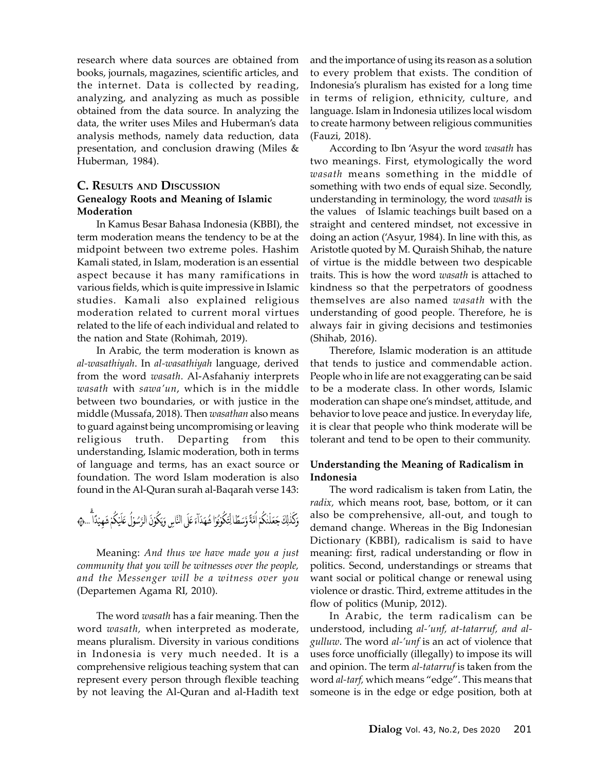research where data sources are obtained from books, journals, magazines, scientific articles, and the internet. Data is collected by reading, analyzing, and analyzing as much as possible obtained from the data source. In analyzing the data, the writer uses Miles and Huberman's data analysis methods, namely data reduction, data presentation, and conclusion drawing (Miles & Huberman, 1984).

### C. RESULTS AND DISCUSSION Genealogy Roots and Meaning of Islamic Moderation

In Kamus Besar Bahasa Indonesia (KBBI), the term moderation means the tendency to be at the midpoint between two extreme poles. Hashim Kamali stated, in Islam, moderation is an essential aspect because it has many ramifications in various fields, which is quite impressive in Islamic studies. Kamali also explained religious moderation related to current moral virtues related to the life of each individual and related to the nation and State (Rohimah, 2019).

In Arabic, the term moderation is known as al-wasathiyah. In al-wasathiyah language, derived from the word wasath. Al-Asfahaniy interprets wasath with sawa'un, which is in the middle between two boundaries, or with justice in the middle (Mussafa, 2018). Then wasathan also means to guard against being uncompromising or leaving religious truth. Departing from this understanding, Islamic moderation, both in terms of language and terms, has an exact source or foundation. The word Islam moderation is also found in the Al-Quran surah al-Baqarah verse 143:

Meaning: And thus we have made you a just community that you will be witnesses over the people, and the Messenger will be a witness over you (Departemen Agama RI, 2010).

The word wasath has a fair meaning. Then the word wasath, when interpreted as moderate, means pluralism. Diversity in various conditions in Indonesia is very much needed. It is a comprehensive religious teaching system that can represent every person through flexible teaching by not leaving the Al-Quran and al-Hadith text and the importance of using its reason as a solution to every problem that exists. The condition of Indonesia's pluralism has existed for a long time in terms of religion, ethnicity, culture, and language. Islam in Indonesia utilizes local wisdom to create harmony between religious communities (Fauzi, 2018).

According to Ibn 'Asyur the word wasath has two meanings. First, etymologically the word wasath means something in the middle of something with two ends of equal size. Secondly, understanding in terminology, the word wasath is the values of Islamic teachings built based on a straight and centered mindset, not excessive in doing an action ('Asyur, 1984). In line with this, as Aristotle quoted by M. Quraish Shihab, the nature of virtue is the middle between two despicable traits. This is how the word wasath is attached to kindness so that the perpetrators of goodness themselves are also named wasath with the understanding of good people. Therefore, he is always fair in giving decisions and testimonies (Shihab, 2016).

Therefore, Islamic moderation is an attitude that tends to justice and commendable action. People who in life are not exaggerating can be said to be a moderate class. In other words, Islamic moderation can shape one's mindset, attitude, and behavior to love peace and justice. In everyday life, it is clear that people who think moderate will be tolerant and tend to be open to their community.

### Understanding the Meaning of Radicalism in Indonesia

The word radicalism is taken from Latin, the radix, which means root, base, bottom, or it can also be comprehensive, all-out, and tough to demand change. Whereas in the Big Indonesian Dictionary (KBBI), radicalism is said to have meaning: first, radical understanding or flow in politics. Second, understandings or streams that want social or political change or renewal using violence or drastic. Third, extreme attitudes in the flow of politics (Munip, 2012).

In Arabic, the term radicalism can be understood, including al-'unf, at-tatarruf, and algulluw. The word al-'unf is an act of violence that uses force unofficially (illegally) to impose its will and opinion. The term al-tatarruf is taken from the word al-tarf, which means "edge". This means that someone is in the edge or edge position, both at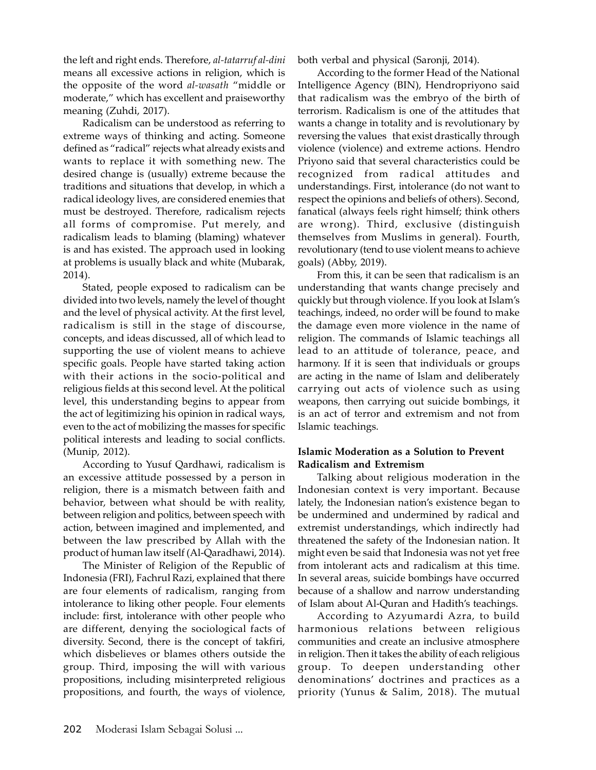the left and right ends. Therefore, al-tatarruf al-dini means all excessive actions in religion, which is the opposite of the word al-wasath "middle or moderate," which has excellent and praiseworthy meaning (Zuhdi, 2017).

Radicalism can be understood as referring to extreme ways of thinking and acting. Someone defined as "radical" rejects what already exists and wants to replace it with something new. The desired change is (usually) extreme because the traditions and situations that develop, in which a radical ideology lives, are considered enemies that must be destroyed. Therefore, radicalism rejects all forms of compromise. Put merely, and radicalism leads to blaming (blaming) whatever is and has existed. The approach used in looking at problems is usually black and white (Mubarak, 2014).

Stated, people exposed to radicalism can be divided into two levels, namely the level of thought and the level of physical activity. At the first level, radicalism is still in the stage of discourse, concepts, and ideas discussed, all of which lead to supporting the use of violent means to achieve specific goals. People have started taking action with their actions in the socio-political and religious fields at this second level. At the political level, this understanding begins to appear from the act of legitimizing his opinion in radical ways, even to the act of mobilizing the masses for specific political interests and leading to social conflicts. (Munip, 2012).

According to Yusuf Qardhawi, radicalism is an excessive attitude possessed by a person in religion, there is a mismatch between faith and behavior, between what should be with reality, between religion and politics, between speech with action, between imagined and implemented, and between the law prescribed by Allah with the product of human law itself (Al-Qaradhawi, 2014).

The Minister of Religion of the Republic of Indonesia (FRI), Fachrul Razi, explained that there are four elements of radicalism, ranging from intolerance to liking other people. Four elements include: first, intolerance with other people who are different, denying the sociological facts of diversity. Second, there is the concept of takfiri, which disbelieves or blames others outside the group. Third, imposing the will with various propositions, including misinterpreted religious propositions, and fourth, the ways of violence, both verbal and physical (Saronji, 2014).

According to the former Head of the National Intelligence Agency (BIN), Hendropriyono said that radicalism was the embryo of the birth of terrorism. Radicalism is one of the attitudes that wants a change in totality and is revolutionary by reversing the values that exist drastically through violence (violence) and extreme actions. Hendro Priyono said that several characteristics could be recognized from radical attitudes and understandings. First, intolerance (do not want to respect the opinions and beliefs of others). Second, fanatical (always feels right himself; think others are wrong). Third, exclusive (distinguish themselves from Muslims in general). Fourth, revolutionary (tend to use violent means to achieve goals) (Abby, 2019).

From this, it can be seen that radicalism is an understanding that wants change precisely and quickly but through violence. If you look at Islam's teachings, indeed, no order will be found to make the damage even more violence in the name of religion. The commands of Islamic teachings all lead to an attitude of tolerance, peace, and harmony. If it is seen that individuals or groups are acting in the name of Islam and deliberately carrying out acts of violence such as using weapons, then carrying out suicide bombings, it is an act of terror and extremism and not from Islamic teachings.

### Islamic Moderation as a Solution to Prevent Radicalism and Extremism

Talking about religious moderation in the Indonesian context is very important. Because lately, the Indonesian nation's existence began to be undermined and undermined by radical and extremist understandings, which indirectly had threatened the safety of the Indonesian nation. It might even be said that Indonesia was not yet free from intolerant acts and radicalism at this time. In several areas, suicide bombings have occurred because of a shallow and narrow understanding of Islam about Al-Quran and Hadith's teachings.

According to Azyumardi Azra, to build harmonious relations between religious communities and create an inclusive atmosphere in religion. Then it takes the ability of each religious group. To deepen understanding other denominations' doctrines and practices as a priority (Yunus & Salim, 2018). The mutual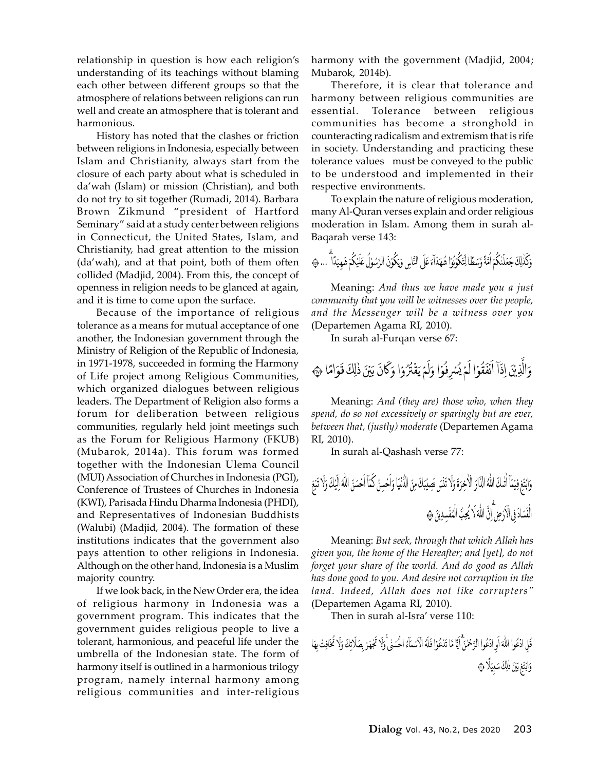relationship in question is how each religion's understanding of its teachings without blaming each other between different groups so that the atmosphere of relations between religions can run well and create an atmosphere that is tolerant and harmonious.

History has noted that the clashes or friction between religions in Indonesia, especially between Islam and Christianity, always start from the closure of each party about what is scheduled in da'wah (Islam) or mission (Christian), and both do not try to sit together (Rumadi, 2014). Barbara Brown Zikmund "president of Hartford Seminary" said at a study center between religions in Connecticut, the United States, Islam, and Christianity, had great attention to the mission (da'wah), and at that point, both of them often collided (Madjid, 2004). From this, the concept of openness in religion needs to be glanced at again, and it is time to come upon the surface.

Because of the importance of religious tolerance as a means for mutual acceptance of one another, the Indonesian government through the Ministry of Religion of the Republic of Indonesia, in 1971-1978, succeeded in forming the Harmony of Life project among Religious Communities, which organized dialogues between religious leaders. The Department of Religion also forms a forum for deliberation between religious communities, regularly held joint meetings such as the Forum for Religious Harmony (FKUB) (Mubarok, 2014a). This forum was formed together with the Indonesian Ulema Council (MUI) Association of Churches in Indonesia (PGI), Conference of Trustees of Churches in Indonesia (KWI), Parisada Hindu Dharma Indonesia (PHDI), and Representatives of Indonesian Buddhists (Walubi) (Madjid, 2004). The formation of these institutions indicates that the government also pays attention to other religions in Indonesia. Although on the other hand, Indonesia is a Muslim majority country.

If we look back, in the New Order era, the idea of religious harmony in Indonesia was a government program. This indicates that the government guides religious people to live a tolerant, harmonious, and peaceful life under the umbrella of the Indonesian state. The form of harmony itself is outlined in a harmonious trilogy program, namely internal harmony among religious communities and inter-religious

harmony with the government (Madjid, 2004; Mubarok, 2014b).

Therefore, it is clear that tolerance and harmony between religious communities are essential. Tolerance between religious communities has become a stronghold in counteracting radicalism and extremism that is rife in society. Understanding and practicing these tolerance values must be conveyed to the public to be understood and implemented in their respective environments.

To explain the nature of religious moderation, many Al-Quran verses explain and order religious moderation in Islam. Among them in surah al-Baqarah verse 143:

وَكَذٰلِكَ جَعَلْنٰكُمْ اُمَّةً وَّسَطًا لِتَكُوْنُوَا شُهَدَآءَ عَلَى النَّاسِ وَيَكُوْنَ الرَّسُوْلُ عَلَيْكُمْ شَهيْدًا أُ ... ٢

Meaning: And thus we have made you a just community that you will be witnesses over the people, and the Messenger will be a witness over you (Departemen Agama RI, 2010).

In surah al-Furqan verse 67:

وَالَّذِيْنَ إِذَآ اَنۡفَقُوۡا لَمۡ يُسۡرِفُوۡا وَلَمۡ يَقۡتُرُوۡا وَكَانَ بَيۡنَ ذٰلِكَ قَوَامًا ۞

Meaning: And (they are) those who, when they spend, do so not excessively or sparingly but are ever, between that, (justly) moderate (Departemen Agama RI, 2010).

In surah al-Qashash verse 77:

Meaning: But seek, through that which Allah has given you, the home of the Hereafter; and [yet], do not forget your share of the world. And do good as Allah has done good to you. And desire not corruption in the land. Indeed, Allah does not like corrupters" (Departemen Agama RI, 2010).

Then in surah al-Isra' verse 110: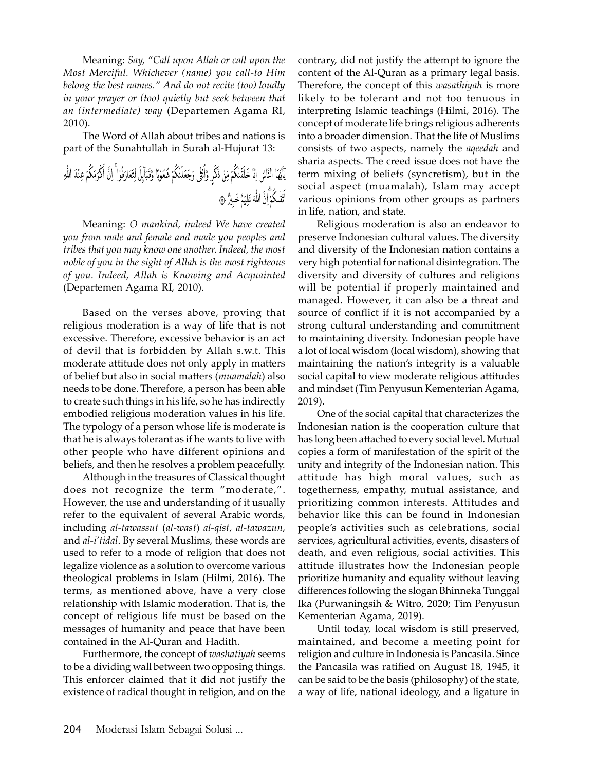Meaning: Say, "Call upon Allah or call upon the Most Merciful. Whichever (name) you call-to Him belong the best names." And do not recite (too) loudly in your prayer or (too) quietly but seek between that an (intermediate) way (Departemen Agama RI, 2010).

The Word of Allah about tribes and nations is part of the Sunahtullah in Surah al-Hujurat 13:

Meaning: O mankind, indeed We have created you from male and female and made you peoples and tribes that you may know one another. Indeed, the most noble of you in the sight of Allah is the most righteous of you. Indeed, Allah is Knowing and Acquainted (Departemen Agama RI, 2010).

Based on the verses above, proving that religious moderation is a way of life that is not excessive. Therefore, excessive behavior is an act of devil that is forbidden by Allah s.w.t. This moderate attitude does not only apply in matters of belief but also in social matters (muamalah) also needs to be done. Therefore, a person has been able to create such things in his life, so he has indirectly embodied religious moderation values in his life. The typology of a person whose life is moderate is that he is always tolerant as if he wants to live with other people who have different opinions and beliefs, and then he resolves a problem peacefully.

Although in the treasures of Classical thought does not recognize the term "moderate,". However, the use and understanding of it usually refer to the equivalent of several Arabic words, including al-tawassut (al-wast) al-qist, al-tawazun, and al-i'tidal. By several Muslims, these words are used to refer to a mode of religion that does not legalize violence as a solution to overcome various theological problems in Islam (Hilmi, 2016). The terms, as mentioned above, have a very close relationship with Islamic moderation. That is, the concept of religious life must be based on the messages of humanity and peace that have been contained in the Al-Quran and Hadith.

Furthermore, the concept of washatiyah seems to be a dividing wall between two opposing things. This enforcer claimed that it did not justify the existence of radical thought in religion, and on the contrary, did not justify the attempt to ignore the content of the Al-Quran as a primary legal basis. Therefore, the concept of this wasathiyah is more likely to be tolerant and not too tenuous in interpreting Islamic teachings (Hilmi, 2016). The concept of moderate life brings religious adherents into a broader dimension. That the life of Muslims consists of two aspects, namely the aqeedah and sharia aspects. The creed issue does not have the term mixing of beliefs (syncretism), but in the social aspect (muamalah), Islam may accept various opinions from other groups as partners in life, nation, and state.

Religious moderation is also an endeavor to preserve Indonesian cultural values. The diversity and diversity of the Indonesian nation contains a very high potential for national disintegration. The diversity and diversity of cultures and religions will be potential if properly maintained and managed. However, it can also be a threat and source of conflict if it is not accompanied by a strong cultural understanding and commitment to maintaining diversity. Indonesian people have a lot of local wisdom (local wisdom), showing that maintaining the nation's integrity is a valuable social capital to view moderate religious attitudes and mindset (Tim Penyusun Kementerian Agama, 2019).

One of the social capital that characterizes the Indonesian nation is the cooperation culture that has long been attached to every social level. Mutual copies a form of manifestation of the spirit of the unity and integrity of the Indonesian nation. This attitude has high moral values, such as togetherness, empathy, mutual assistance, and prioritizing common interests. Attitudes and behavior like this can be found in Indonesian people's activities such as celebrations, social services, agricultural activities, events, disasters of death, and even religious, social activities. This attitude illustrates how the Indonesian people prioritize humanity and equality without leaving differences following the slogan Bhinneka Tunggal Ika (Purwaningsih & Witro, 2020; Tim Penyusun Kementerian Agama, 2019).

Until today, local wisdom is still preserved, maintained, and become a meeting point for religion and culture in Indonesia is Pancasila. Since the Pancasila was ratified on August 18, 1945, it can be said to be the basis (philosophy) of the state, a way of life, national ideology, and a ligature in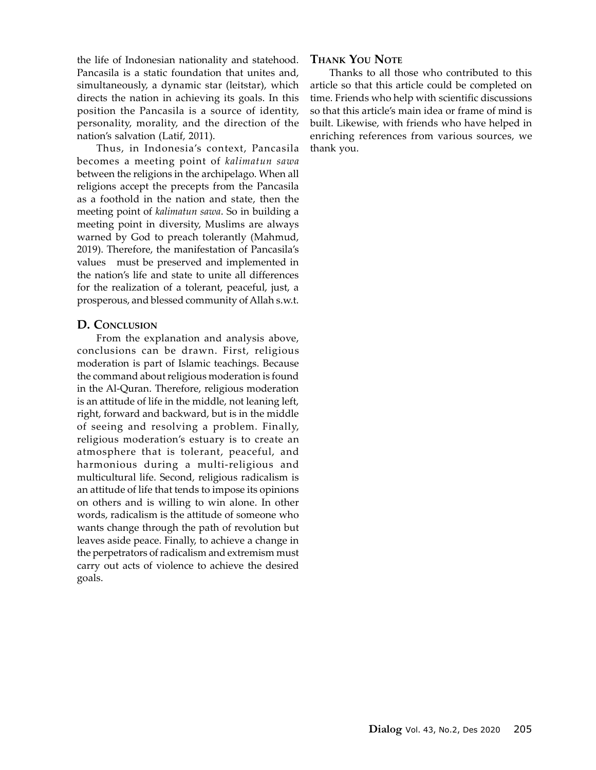the life of Indonesian nationality and statehood. Pancasila is a static foundation that unites and, simultaneously, a dynamic star (leitstar), which directs the nation in achieving its goals. In this position the Pancasila is a source of identity, personality, morality, and the direction of the nation's salvation (Latif, 2011).

Thus, in Indonesia's context, Pancasila becomes a meeting point of kalimatun sawa between the religions in the archipelago. When all religions accept the precepts from the Pancasila as a foothold in the nation and state, then the meeting point of kalimatun sawa. So in building a meeting point in diversity, Muslims are always warned by God to preach tolerantly (Mahmud, 2019). Therefore, the manifestation of Pancasila's values must be preserved and implemented in the nation's life and state to unite all differences for the realization of a tolerant, peaceful, just, a prosperous, and blessed community of Allah s.w.t.

#### D. CONCLUSION

From the explanation and analysis above, conclusions can be drawn. First, religious moderation is part of Islamic teachings. Because the command about religious moderation is found in the Al-Quran. Therefore, religious moderation is an attitude of life in the middle, not leaning left, right, forward and backward, but is in the middle of seeing and resolving a problem. Finally, religious moderation's estuary is to create an atmosphere that is tolerant, peaceful, and harmonious during a multi-religious and multicultural life. Second, religious radicalism is an attitude of life that tends to impose its opinions on others and is willing to win alone. In other words, radicalism is the attitude of someone who wants change through the path of revolution but leaves aside peace. Finally, to achieve a change in the perpetrators of radicalism and extremism must carry out acts of violence to achieve the desired goals.

### THANK YOU NOTE

Thanks to all those who contributed to this article so that this article could be completed on time. Friends who help with scientific discussions so that this article's main idea or frame of mind is built. Likewise, with friends who have helped in enriching references from various sources, we thank you.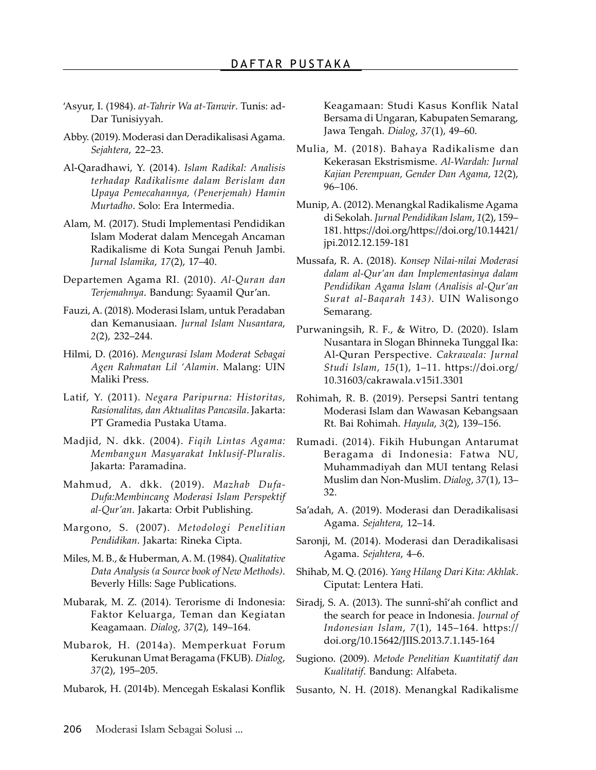- 'Asyur, I. (1984). at-Tahrir Wa at-Tanwir. Tunis: ad-Dar Tunisiyyah.
- Abby. (2019). Moderasi dan Deradikalisasi Agama. Sejahtera, 22–23.
- Al-Qaradhawi, Y. (2014). Islam Radikal: Analisis terhadap Radikalisme dalam Berislam dan Upaya Pemecahannya, (Penerjemah) Hamin Murtadho. Solo: Era Intermedia.
- Alam, M. (2017). Studi Implementasi Pendidikan Islam Moderat dalam Mencegah Ancaman Radikalisme di Kota Sungai Penuh Jambi. Jurnal Islamika, 17(2), 17–40.
- Departemen Agama RI. (2010). Al-Quran dan Terjemahnya. Bandung: Syaamil Qur'an.
- Fauzi, A. (2018). Moderasi Islam, untuk Peradaban dan Kemanusiaan. Jurnal Islam Nusantara, 2(2), 232–244.
- Hilmi, D. (2016). Mengurasi Islam Moderat Sebagai Agen Rahmatan Lil 'Alamin. Malang: UIN Maliki Press.
- Latif, Y. (2011). Negara Paripurna: Historitas, Rasionalitas, dan Aktualitas Pancasila. Jakarta: PT Gramedia Pustaka Utama.
- Madjid, N. dkk. (2004). Fiqih Lintas Agama: Membangun Masyarakat Inklusif-Pluralis. Jakarta: Paramadina.
- Mahmud, A. dkk. (2019). Mazhab Dufa-Dufa:Membincang Moderasi Islam Perspektif al-Qur'an. Jakarta: Orbit Publishing.
- Margono, S. (2007). Metodologi Penelitian Pendidikan. Jakarta: Rineka Cipta.
- Miles, M. B., & Huberman, A. M. (1984). Qualitative Data Analysis (a Source book of New Methods). Beverly Hills: Sage Publications.
- Mubarak, M. Z. (2014). Terorisme di Indonesia: Faktor Keluarga, Teman dan Kegiatan Keagamaan. Dialog, 37(2), 149–164.
- Mubarok, H. (2014a). Memperkuat Forum Kerukunan Umat Beragama (FKUB). Dialog, 37(2), 195–205.
- Mubarok, H. (2014b). Mencegah Eskalasi Konflik

Keagamaan: Studi Kasus Konflik Natal Bersama di Ungaran, Kabupaten Semarang, Jawa Tengah. Dialog, 37(1), 49–60.

- Mulia, M. (2018). Bahaya Radikalisme dan Kekerasan Ekstrismisme. Al-Wardah: Jurnal Kajian Perempuan, Gender Dan Agama, 12(2), 96–106.
- Munip, A. (2012). Menangkal Radikalisme Agama di Sekolah. Jurnal Pendidikan Islam, 1(2), 159– 181. https://doi.org/https://doi.org/10.14421/ jpi.2012.12.159-181
- Mussafa, R. A. (2018). Konsep Nilai-nilai Moderasi dalam al-Qur'an dan Implementasinya dalam Pendidikan Agama Islam (Analisis al-Qur'an Surat al-Baqarah 143). UIN Walisongo Semarang.
- Purwaningsih, R. F., & Witro, D. (2020). Islam Nusantara in Slogan Bhinneka Tunggal Ika: Al-Quran Perspective. Cakrawala: Jurnal Studi Islam, 15(1), 1–11. https://doi.org/ 10.31603/cakrawala.v15i1.3301
- Rohimah, R. B. (2019). Persepsi Santri tentang Moderasi Islam dan Wawasan Kebangsaan Rt. Bai Rohimah. Hayula, 3(2), 139–156.
- Rumadi. (2014). Fikih Hubungan Antarumat Beragama di Indonesia: Fatwa NU, Muhammadiyah dan MUI tentang Relasi Muslim dan Non-Muslim. Dialog, 37(1), 13– 32.
- Sa'adah, A. (2019). Moderasi dan Deradikalisasi Agama. Sejahtera, 12–14.
- Saronji, M. (2014). Moderasi dan Deradikalisasi Agama. Sejahtera, 4–6.
- Shihab, M. Q. (2016). Yang Hilang Dari Kita: Akhlak. Ciputat: Lentera Hati.
- Siradj, S. A. (2013). The sunnî-shî'ah conflict and the search for peace in Indonesia. Journal of Indonesian Islam, 7(1), 145–164. https:// doi.org/10.15642/JIIS.2013.7.1.145-164
- Sugiono. (2009). Metode Penelitian Kuantitatif dan Kualitatif. Bandung: Alfabeta.
- Susanto, N. H. (2018). Menangkal Radikalisme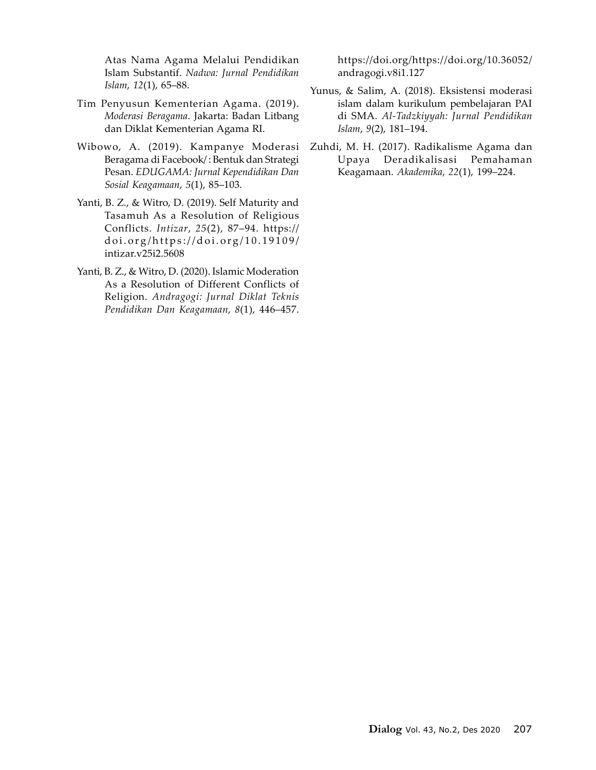Atas Nama Agama Melalui Pendidikan Islam Substantif. Nadwa: Jurnal Pendidikan Islam, 12(1), 65–88.

- Tim Penyusun Kementerian Agama. (2019). Moderasi Beragama. Jakarta: Badan Litbang dan Diklat Kementerian Agama RI.
- Wibowo, A. (2019). Kampanye Moderasi Beragama di Facebook/ : Bentuk dan Strategi Pesan. EDUGAMA: Jurnal Kependidikan Dan Sosial Keagamaan, 5(1), 85–103.
- Yanti, B. Z., & Witro, D. (2019). Self Maturity and Tasamuh As a Resolution of Religious Conflicts. Intizar, 25(2), 87–94. https:// d o i . o r g / h t t p s : / / d o i . o r g / 1 0 . 1 9 1 0 9 / intizar.v25i2.5608
- Yanti, B. Z., & Witro, D. (2020). Islamic Moderation As a Resolution of Different Conflicts of Religion. Andragogi: Jurnal Diklat Teknis Pendidikan Dan Keagamaan, 8(1), 446–457.

https://doi.org/https://doi.org/10.36052/ andragogi.v8i1.127

- Yunus, & Salim, A. (2018). Eksistensi moderasi islam dalam kurikulum pembelajaran PAI di SMA. Al-Tadzkiyyah: Jurnal Pendidikan Islam, 9(2), 181–194.
- Zuhdi, M. H. (2017). Radikalisme Agama dan Upaya Deradikalisasi Pemahaman Keagamaan. Akademika, 22(1), 199–224.